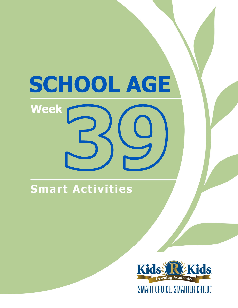# SCHOOL AGE Week

## Smart Activities

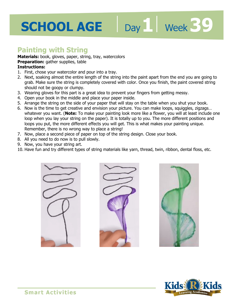# **SCHOOL AGE** Day I Week 39

### **Painting with String**

**Materials:** book, gloves, paper, string, tray, watercolors

**Preparation:** gather supplies, table

- 1. First, chose your watercolor and pour into a tray.
- **Freparation:** gather supplies, table<br>**Instructions:**<br>1. First, chose your watercolor and pour into a tray.<br>2. Next, soaking almost the entire length of the string into the paint apart from the end you are going to grab. Make sure the string is completely covered with color. Once you finish, the paint covered string should not be goopy or clumpy.
- 3. Wearing gloves for this part is a great idea to prevent your fingers from getting messy.
- 4. Open your book in the middle and place your paper inside.
- 5. Arrange the string on the side of your paper that will stay on the table when you shut your book.
- 6. Now is the time to get creative and envision your picture. You can make loops, squiggles, zigzags… whatever you want. (**Note:** To make your painting look more like a flower, you will at least include one loop when you lay your string on the paper). It is totally up to you. The more different positions and loops you put, the more different effects you will get. This is what makes your painting unique. Remember, there is no wrong way to place a string!
- 7. Now, place a second piece of paper on top of the string design. Close your book.
- 8. All you need to do now is to pull slowly.
- 9. Now, you have your string art.
- 10. Have fun and try different types of string materials like yarn, thread, twin, ribbon, dental floss, etc.







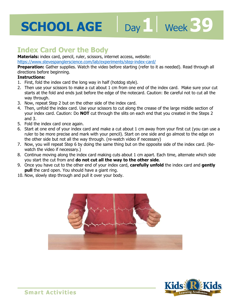## **Index Card Over the Body**

**Materials:** index card, pencil, ruler, scissors, internet access, website:

https://www.stevespanglerscience.com/lab/experiments/step-index-card/

<u>-card/</u><br>fer to it as needed). Read through **Preparation:** Gather supplies. Watch the video before starting (refer to it as needed). Read through all directions before beginning.

Day 1 **Week 39** 

- 1. First, fold the index card the long way in half (hotdog style).
- 2. Then use your scissors to make a cut about 1 cm from one end of the index card. Make sure your cut starts at the fold and ends just before the edge of the notecard. Caution: Be careful not to cut all the way through.
- 3. Now, repeat Step 2 but on the other side of the index card.
- 4. Then, unfold the index card. Use your scissors to cut along the crease of the large middle section of your index card. Caution: Do **NOT** cut through the slits on each end that you created in the Steps 2 and 3.
- 5. Fold the index card once again.
- 6. Start at one end of your index card and make a cut about 1 cm away from your first cut (you can use a ruler to be more precise and mark with your pencil). Start on one side and go almost to the edge on the other side but not all the way through. (re-watch video if necessary)
- 7. Now, you will repeat Step 6 by doing the same thing but on the opposite side of the index card. (Rewatch the video if necessary.)
- 8. Continue moving along the index card making cuts about 1 cm apart. Each time, alternate which side you start the cut from and **do not cut all the way to the other side**.
- 9. Once you have cut to the other end of your index card, **carefully unfold** the index card and **gently pull** the card open. You should have a giant ring.
- 10. Now, slowly step through and pull it over your body.



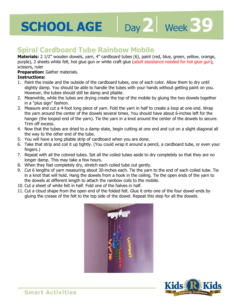### **Spiral Cardboard Tube Rainbow Mobile**

purple), 2 sheets white felt, hot glue gun or white craft glue (adult assistance needed for hot glue gun),<br>scissors, ruler<br>**Preparation:** Gather materials.<br>**Instructions: Materials:** 2 1/2" wooden dowels, yarn, 4" cardboard tubes (6), paint (red, blue, green, yellow, orange, scissors, ruler

Day 2 | Week 39

**Preparation:** Gather materials.

- 1. Paint the inside and the outside of the cardboard tubes, one of each color. Allow them to dry until slightly damp. You should be able to handle the tubes with your hands without getting paint on you. However, the tubes should still be damp and pliable.
- 2. Meanwhile, while the tubes are drying create the top of the mobile by gluing the two dowels together in a "plus sign" fashion.
- 3. Measure and cut a 4-foot long piece of yarn. Fold the yarn in half to create a loop at one end. Wrap the yarn around the center of the dowels several times. You should have about 6-inches left for the hanger (the looped end of the yarn). Tie the yarn in a knot around the center of the dowels to secure. Trim off excess.
- 4. Now that the tubes are dried to a damp state, begin cutting at one end and cut on a slight diagonal all the way to the other end of the tube.
- 5. You will have a long pliable strip of cardboard when you are done.
- 6. Take that strip and coil it up tightly. (You could wrap it around a pencil, a cardboard tube, or even your fingers.)
- 7. Repeat with all the colored tubes. Set all the coiled tubes aside to dry completely so that they are no longer damp. This may take a few hours.
- 8. When they feel completely dry, stretch each coiled tube out gently.
- 9. Cut 6 lengths of yarn measuring about 30-inches each. Tie the yarn to the end of each coiled tube. Tie in a knot that will hold. Hang the dowels from a hook in the ceiling. Tie the open ends of the yarn to the dowels at different length to attach the rainbow coils to the mobile.
- 10. Cut a sheet of white felt in half. Fold one of the halves in half.
- 11. Cut a cloud shape from the open end of the folded felt. Glue it onto one of the four dowel ends by gluing the crease of the felt to the top side of the dowel. Repeat this step for all the dowels.



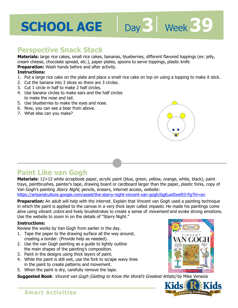## **SCHOOL AGE ||**

### **Perspective Snack Stack**

**Materials:** large rice cakes, small rice cakes, bananas, blueberries, different flavored toppings (ex: jelly, cream cheese, chocolate spread, etc.), paper plates, spoons to serve toppings, plastic knife

**Preparation:** Wash hands before and after activity.

#### **Instructions:**

- cream cheese, chocolate spread, etc.), paper plates, spoons to serve toppings, plastic knife<br>**Preparation:** Wash hands before and after activity.<br>**Instructions:**<br>1. Put a large rice cake on the plate and place a small rice
- 2. Cut the banana into 3 slices so there are 3 circles.
- 3. Cut 1 circle in half to make 2 half circles.
- 4. Use banana circles to make ears and the half circles to make the nose and tail.
- 5. Use blueberries to make the eyes and nose.
- 6. Now, you can see a bear from above.
- 7. What else can you make?



**Day 3** Week 39

### **Paint Like van Gogh**

**Materials:** 12×12 white scrapbook paper, acrylic paint (blue, green, yellow, orange, white, black), paint trays, paintbrushes, painter's tape, drawing board or cardboard larger than the paper, plastic forks, copy of Van Gogh's painting *Starry Night*, pencils, erasers, internet access, website:

https://artsandculture.google.com/asset/the-starry-night-vincent-van-gogh/bgEuwDxel93-Pg?hl=en

**Preparation:** An adult will help with the internet. Explain that Vincent van Gogh used a painting technique in which the paint is applied to the canvas in a very thick layer called *impasto*. He made his paintings come alive using vibrant *colors* and lively brushstrokes to create a sense of *movement* and evoke strong emotions. Use the website to zoom in on the details of "Starry Night."

#### **Instructions:**

Review the works by Van Gogh from earlier in the day.

- 1. Tape the paper to the drawing surface all the way around, creating a border. (Provide help as needed).
- 2. Use the van Gogh painting as a guide to lightly outline the main shapes of the painting's composition.
- 3. Paint in the designs using thick layers of paint.
- 4. While the paint is still wet, use the fork to scrape wavy lines in the paint to create patterns and movement.
- 5. When the paint is dry, carefully remove the tape.

**Suggested Book**: Vincent van Gogh (Getting to Know the World's Greatest Artists) by Mike Venezia





#### **Smart Activities**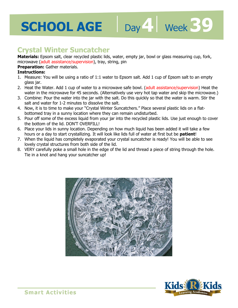### **Crystal Winter Suncatcher**

**Materials:** Epsom salt, clear recycled plastic lids, water, empty jar, bowl or glass measuring cup, fork, microwave (adult assistance/supervision), tray, string, pin

Day 4 | Week 39

#### **Preparation:** Gather materials.

- microwave (addit assistance/supervision), day, sullig, pin<br>**Preparation:** Gather materials.<br>**Instructions:**<br>1. Measure: You will be using a ratio of 1:1 water to Epsom salt. Add 1 cup of Epsom salt to an empty glass jar.
- 2. Heat the Water. Add 1 cup of water to a microwave safe bowl. (adult assistance/supervision) Heat the water in the microwave for 45 seconds. (Alternatively use very hot tap water and skip the microwave.)
- 3. Combine: Pour the water into the jar with the salt. Do this quickly so that the water is warm. Stir the salt and water for 1-2 minutes to dissolve the salt.
- 4. Now, it is to time to make your "Crystal Winter Suncatchers." Place several plastic lids on a flatbottomed tray in a sunny location where they can remain undisturbed.
- 5. Pour off some of the excess liquid from your jar into the recycled plastic lids. Use just enough to cover the bottom of the lid. DON'T OVERFILL!
- 6. Place your lids in sunny location. Depending on how much liquid has been added it will take a few hours or a day to start crystallizing. It will look like lids full of water at first but be **patient**!
- 7. When the liquid has completely evaporated your crystal suncatcher is ready! You will be able to see lovely crystal structures from both side of the lid.
- 8. VERY carefully poke a small hole in the edge of the lid and thread a piece of string through the hole. Tie in a knot and hang your suncatcher up!



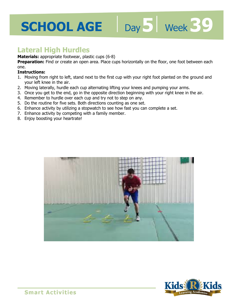# **SCHOOL AGE** Day 5 | Week 39

### **Lateral High Hurdles**

**Materials:** appropriate footwear, plastic cups (6-8)

**Freparation:** Find of create an open area. Place cups nonzontaily on the hoor, one foot between each<br>one.<br>**Instructions:**<br>1. Moving from right to left, stand next to the first cup with your right foot planted on the groun Preparation: Find or create an open area. Place cups horizontally on the floor, one foot between each one.

#### **Instructions:**

- your left knee in the air.
- 2. Moving laterally, hurdle each cup alternating lifting your knees and pumping your arms.
- 3. Once you get to the end, go in the opposite direction beginning with your right knee in the air.
- 4. Remember to hurdle over each cup and try not to step on any.
- 5. Do the routine for five sets. Both directions counting as one set.
- 6. Enhance activity by utilizing a stopwatch to see how fast you can complete a set.
- 7. Enhance activity by competing with a family member.
- 8. Enjoy boosting your heartrate!





**Smart Activities**